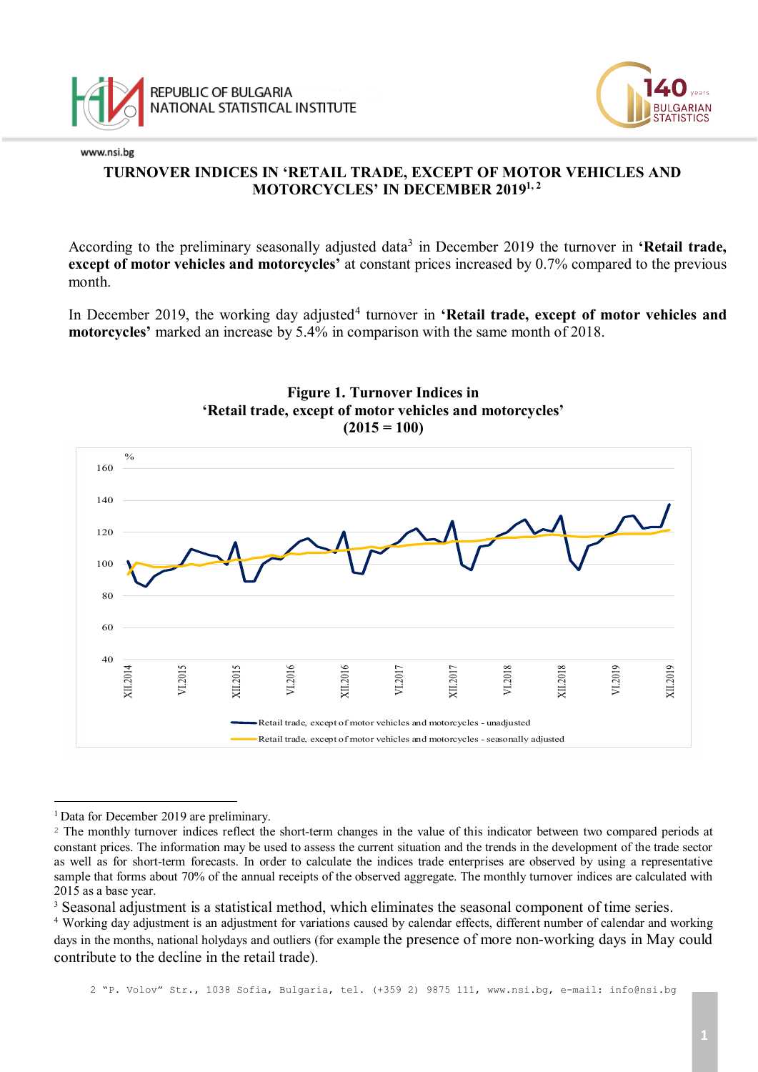

# **TURNOVER INDICES IN 'RETAIL TRADE, EXCEPT OF MOTOR VEHICLES AND MOTORCYCLES' IN DECEMBER 20191, 2**

According to the preliminary seasonally adjusted data<sup>[3](#page-0-0)</sup> in December 2019 the turnover in **'Retail trade, except of motor vehicles and motorcycles'** at constant prices increased by 0.7% compared to the previous month.

In December 2019, the working day adjusted<sup>[4](#page-0-1)</sup> turnover in 'Retail trade, except of motor vehicles and **motorcycles'** marked an increase by 5.4% in comparison with the same month of 2018.



## **Figure 1. Turnover Indices in 'Retail trade, except of motor vehicles and motorcycles'**  $(2015 = 100)$

<sup>3</sup> Seasonal adjustment is a statistical method, which eliminates the seasonal component of time series.<br><sup>4</sup> Working day adjustment is an adjustment for variations caused by calendar effects, different number of calendar a

Ĩ. <sup>1</sup> Data for December 2019 are preliminary.

<span id="page-0-0"></span><sup>&</sup>lt;sup>2</sup> The monthly turnover indices reflect the short-term changes in the value of this indicator between two compared periods at constant prices. The information may be used to assess the current situation and the trends in the development of the trade sector as well as for short-term forecasts. In order to calculate the indices trade enterprises are observed by using a representative sample that forms about 70% of the annual receipts of the observed aggregate. The monthly turnover indices are calculated with 2015 as a base year.

<span id="page-0-1"></span>days in the months, national holydays and outliers (for example the presence of more non-working days in May could contribute to the decline in the retail trade).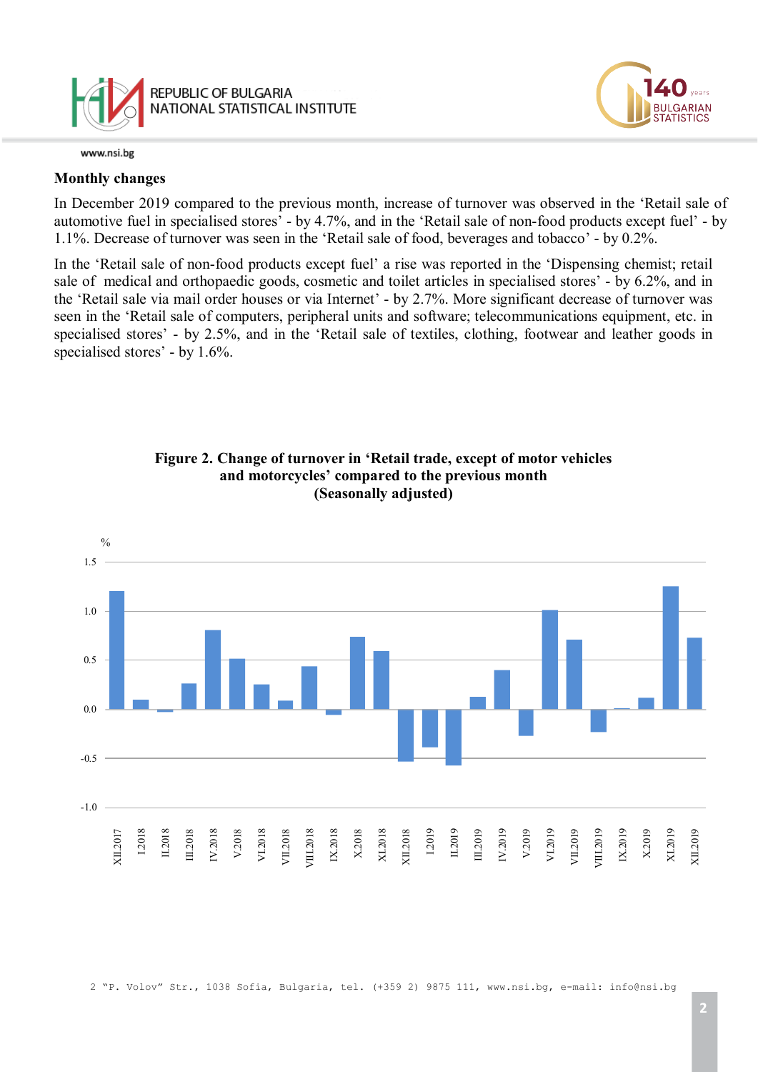

## **Monthly changes**

In December 2019 compared to the previous month, increase of turnover was observed in the 'Retail sale of automotive fuel in specialised stores' - by 4.7%, and in the 'Retail sale of non-food products except fuel' - by 1.1%. Decrease of turnover was seen in the 'Retail sale of food, beverages and tobacco' - by 0.2%.

In the 'Retail sale of non-food products except fuel' a rise was reported in the 'Dispensing chemist; retail sale of medical and orthopaedic goods, cosmetic and toilet articles in specialised stores' - by 6.2%, and in the 'Retail sale via mail order houses or via Internet' - by 2.7%. More significant decrease of turnover was seen in the 'Retail sale of computers, peripheral units and software; telecommunications equipment, etc. in specialised stores' - by 2.5%, and in the 'Retail sale of textiles, clothing, footwear and leather goods in specialised stores' - by 1.6%.





LGARIAN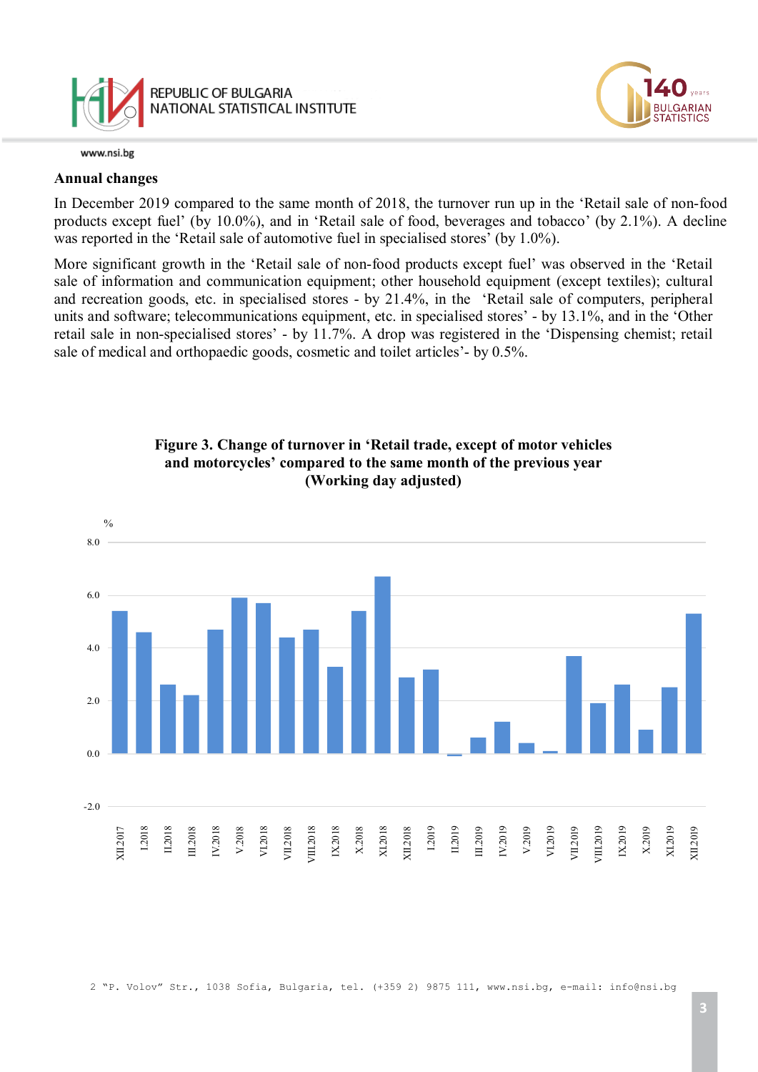

## **Annual changes**

In December 2019 compared to the same month of 2018, the turnover run up in the 'Retail sale of non-food products except fuel' (by 10.0%), and in 'Retail sale of food, beverages and tobacco' (by 2.1%). A decline was reported in the 'Retail sale of automotive fuel in specialised stores' (by 1.0%).

More significant growth in the 'Retail sale of non-food products except fuel' was observed in the 'Retail sale of information and communication equipment; other household equipment (except textiles); cultural and recreation goods, etc. in specialised stores - by 21.4%, in the 'Retail sale of computers, peripheral units and software; telecommunications equipment, etc. in specialised stores' - by 13.1%, and in the 'Other retail sale in non-specialised stores' - by 11.7%. A drop was registered in the 'Dispensing chemist; retail sale of medical and orthopaedic goods, cosmetic and toilet articles'- by 0.5%.



# **Figure 3. Change of turnover in 'Retail trade, except of motor vehicles and motorcycles' compared to the same month of the previous year (Working day adjusted)**

LGARIAN **TATISTICS**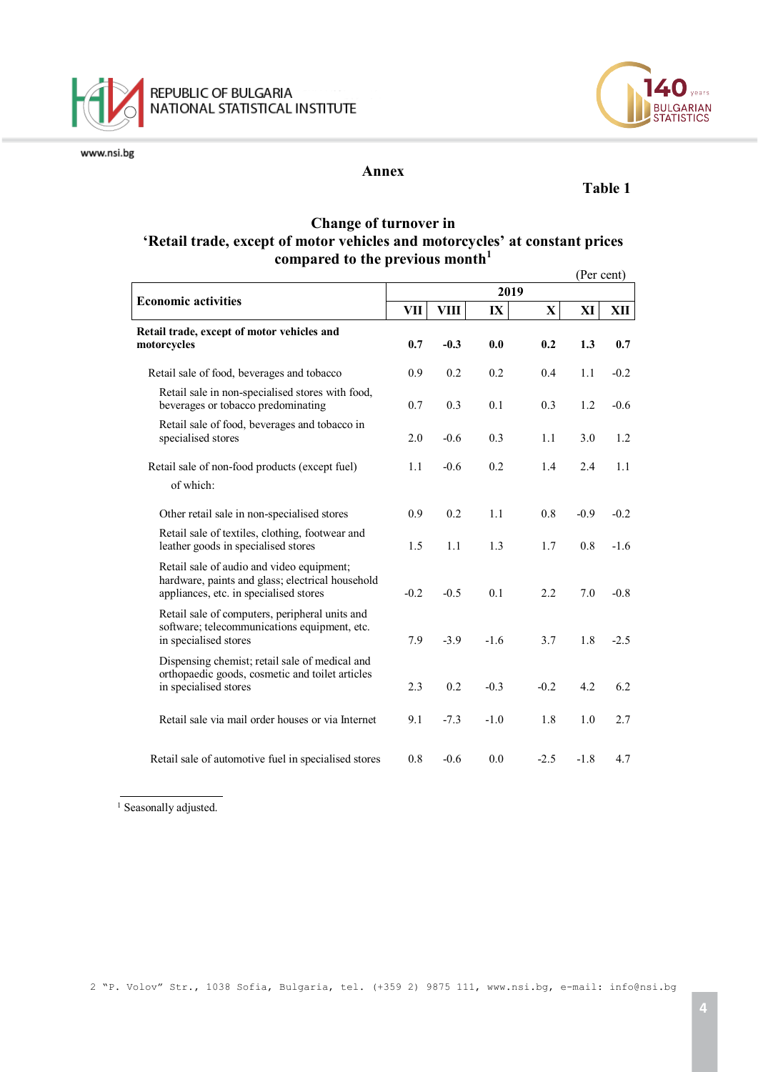



### **Annex**

### **Table 1**

LGARIAN<br>ATISTICS

## **Change of turnover in 'Retail trade, except of motor vehicles and motorcycles' at constant prices compared to the previous month<sup>1</sup>**

|                                                                                                                                         |        |        |        |             | (Per cent) |        |
|-----------------------------------------------------------------------------------------------------------------------------------------|--------|--------|--------|-------------|------------|--------|
| <b>Economic activities</b>                                                                                                              |        |        |        |             |            |        |
|                                                                                                                                         | VП     | VIII   | IX     | $\mathbf X$ | XI         | XII    |
| Retail trade, except of motor vehicles and<br>motorcycles                                                                               | 0.7    | $-0.3$ | 0.0    | 0.2         | 1.3        | 0.7    |
| Retail sale of food, beverages and tobacco                                                                                              | 0.9    | 0.2    | 0.2    | 0.4         | 1.1        | $-0.2$ |
| Retail sale in non-specialised stores with food,<br>beverages or tobacco predominating                                                  | 0.7    | 0.3    | 0.1    | 0.3         | 1.2        | $-0.6$ |
| Retail sale of food, beverages and tobacco in<br>specialised stores                                                                     | 2.0    | $-0.6$ | 0.3    | 1.1         | 3.0        | 1.2    |
| Retail sale of non-food products (except fuel)<br>of which:                                                                             | 1.1    | $-0.6$ | 0.2    | 1.4         | 2.4        | 1.1    |
| Other retail sale in non-specialised stores                                                                                             | 0.9    | 0.2    | 1.1    | 0.8         | $-0.9$     | $-0.2$ |
| Retail sale of textiles, clothing, footwear and<br>leather goods in specialised stores                                                  | 1.5    | 1.1    | 1.3    | 1.7         | 0.8        | $-1.6$ |
| Retail sale of audio and video equipment;<br>hardware, paints and glass; electrical household<br>appliances, etc. in specialised stores | $-0.2$ | $-0.5$ | 0.1    | 2.2         | 7.0        | $-0.8$ |
| Retail sale of computers, peripheral units and<br>software; telecommunications equipment, etc.<br>in specialised stores                 | 7.9    | $-3.9$ | $-1.6$ | 3.7         | 1.8        | $-2.5$ |
| Dispensing chemist; retail sale of medical and<br>orthopaedic goods, cosmetic and toilet articles<br>in specialised stores              | 2.3    | 0.2    | $-0.3$ | $-0.2$      | 4.2        | 6.2    |
| Retail sale via mail order houses or via Internet                                                                                       | 9.1    | $-7.3$ | $-1.0$ | 1.8         | 1.0        | 2.7    |
| Retail sale of automotive fuel in specialised stores                                                                                    | 0.8    | $-0.6$ | 0.0    | $-2.5$      | $-1.8$     | 4.7    |

<sup>1</sup> Seasonally adjusted.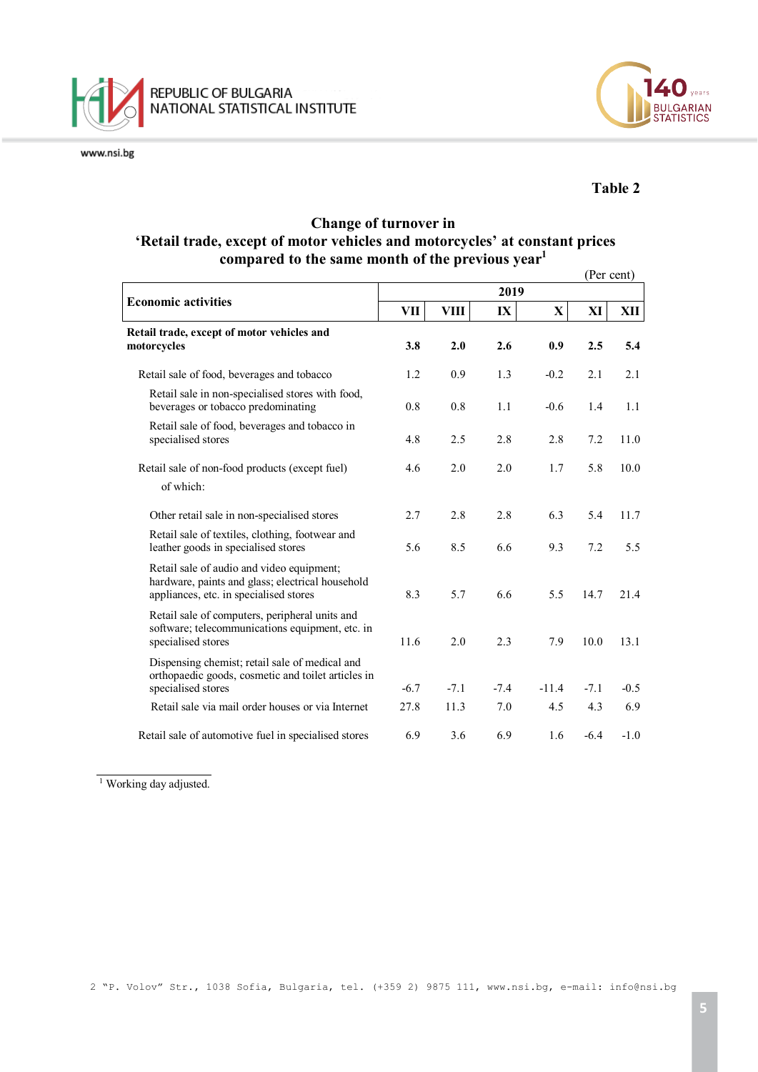



## **Table 2**

## **Change of turnover in 'Retail trade, except of motor vehicles and motorcycles' at constant prices compared to the same month of the previous year1**

|                                                                                                                                         |        |             |        |         | (Per cent) |        |
|-----------------------------------------------------------------------------------------------------------------------------------------|--------|-------------|--------|---------|------------|--------|
|                                                                                                                                         |        |             |        |         |            |        |
| <b>Economic activities</b>                                                                                                              | VII    | <b>VIII</b> | IX     | X       | XI         | XII    |
| Retail trade, except of motor vehicles and<br>motorcycles                                                                               | 3.8    | 2.0         | 2.6    | 0.9     | 2.5        | 5.4    |
| Retail sale of food, beverages and tobacco                                                                                              | 1.2    | 0.9         | 1.3    | $-0.2$  | 2.1        | 2.1    |
| Retail sale in non-specialised stores with food,<br>beverages or tobacco predominating                                                  | 0.8    | 0.8         | 1.1    | $-0.6$  | 1.4        | 1.1    |
| Retail sale of food, beverages and tobacco in<br>specialised stores                                                                     | 4.8    | 2.5         | 2.8    | 2.8     | 7.2        | 11.0   |
| Retail sale of non-food products (except fuel)<br>of which:                                                                             | 4.6    | 2.0         | 2.0    | 1.7     | 5.8        | 10.0   |
| Other retail sale in non-specialised stores                                                                                             | 2.7    | 2.8         | 2.8    | 6.3     | 5.4        | 11.7   |
| Retail sale of textiles, clothing, footwear and<br>leather goods in specialised stores                                                  | 5.6    | 8.5         | 6.6    | 9.3     | 7.2        | 5.5    |
| Retail sale of audio and video equipment;<br>hardware, paints and glass; electrical household<br>appliances, etc. in specialised stores | 8.3    | 5.7         | 6.6    | 5.5     | 14.7       | 21.4   |
| Retail sale of computers, peripheral units and<br>software; telecommunications equipment, etc. in<br>specialised stores                 | 11.6   | 2.0         | 2.3    | 7.9     | 10.0       | 13.1   |
| Dispensing chemist; retail sale of medical and<br>orthopaedic goods, cosmetic and toilet articles in                                    |        | $-7.1$      |        |         |            |        |
| specialised stores                                                                                                                      | $-6.7$ |             | $-7.4$ | $-11.4$ | $-7.1$     | $-0.5$ |
| Retail sale via mail order houses or via Internet                                                                                       | 27.8   | 11.3        | 7.0    | 4.5     | 4.3        | 6.9    |
| Retail sale of automotive fuel in specialised stores                                                                                    | 6.9    | 3.6         | 6.9    | 1.6     | $-6.4$     | $-1.0$ |

<sup>&</sup>lt;sup>1</sup> Working day adjusted.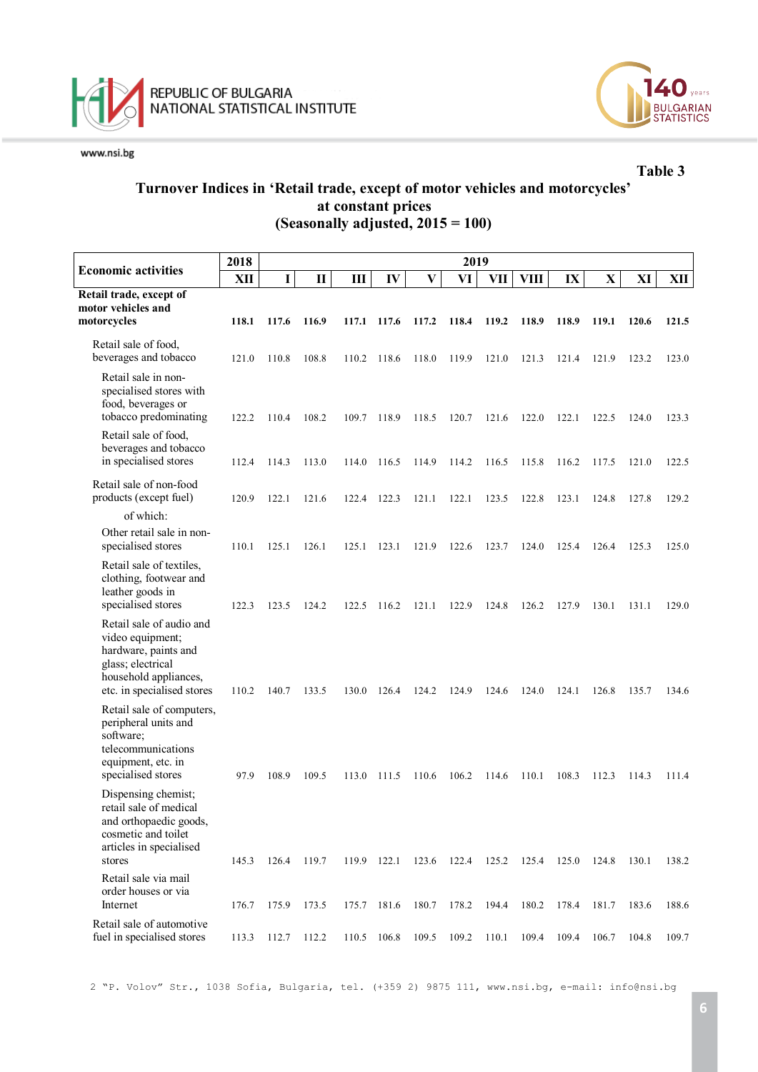



**Table 3**

## **Turnover Indices in 'Retail trade, except of motor vehicles and motorcycles' at constant prices (Seasonally adjusted, 2015 = 100)**

|                                                                                                                                                  | 2018  | 2019        |              |             |               |       |       |       |             |       |              |       |       |
|--------------------------------------------------------------------------------------------------------------------------------------------------|-------|-------------|--------------|-------------|---------------|-------|-------|-------|-------------|-------|--------------|-------|-------|
| <b>Economic activities</b>                                                                                                                       | XII   | $\mathbf I$ | $\mathbf{I}$ | Ш           | $\mathbf{IV}$ | V     | VI    | VII   | <b>VIII</b> | IX    | $\mathbf{X}$ | XI    | XII   |
| Retail trade, except of                                                                                                                          |       |             |              |             |               |       |       |       |             |       |              |       |       |
| motor vehicles and<br>motorcycles                                                                                                                | 118.1 | 117.6       | 116.9        | 117.1       | 117.6         | 117.2 | 118.4 | 119.2 | 118.9       | 118.9 | 119.1        | 120.6 | 121.5 |
|                                                                                                                                                  |       |             |              |             |               |       |       |       |             |       |              |       |       |
| Retail sale of food,<br>beverages and tobacco                                                                                                    | 121.0 | 110.8       | 108.8        | 110.2       | 118.6         | 118.0 | 119.9 | 121.0 | 121.3       | 121.4 | 121.9        | 123.2 | 123.0 |
| Retail sale in non-<br>specialised stores with<br>food, beverages or<br>tobacco predominating                                                    | 122.2 | 110.4       | 108.2        | 109.7       | 118.9         | 118.5 | 120.7 | 121.6 | 122.0       | 122.1 | 122.5        | 124.0 | 123.3 |
| Retail sale of food,<br>beverages and tobacco<br>in specialised stores                                                                           | 112.4 | 114.3       | 113.0        | 114.0       | 116.5         | 114.9 | 114.2 | 116.5 | 115.8       | 116.2 | 117.5        | 121.0 | 122.5 |
| Retail sale of non-food<br>products (except fuel)                                                                                                | 120.9 | 122.1       | 121.6        | 122.4       | 122.3         | 121.1 | 122.1 | 123.5 | 122.8       | 123.1 | 124.8        | 127.8 | 129.2 |
| of which:                                                                                                                                        |       |             |              |             |               |       |       |       |             |       |              |       |       |
| Other retail sale in non-<br>specialised stores                                                                                                  | 110.1 | 125.1       | 126.1        | 125.1       | 123.1         | 121.9 | 122.6 | 123.7 | 124.0       | 125.4 | 126.4        | 125.3 | 125.0 |
| Retail sale of textiles,<br>clothing, footwear and<br>leather goods in<br>specialised stores                                                     | 122.3 | 123.5       | 124.2        | 122.5       | 116.2         | 121.1 | 122.9 | 124.8 | 126.2       | 127.9 | 130.1        | 131.1 | 129.0 |
| Retail sale of audio and<br>video equipment;<br>hardware, paints and<br>glass; electrical<br>household appliances,<br>etc. in specialised stores | 110.2 | 140.7       | 133.5        | 130.0       | 126.4         | 124.2 | 124.9 | 124.6 | 124.0       | 124.1 | 126.8        | 135.7 | 134.6 |
| Retail sale of computers,<br>peripheral units and<br>software;<br>telecommunications<br>equipment, etc. in<br>specialised stores                 | 97.9  | 108.9       | 109.5        | 113.0       | 111.5         | 110.6 | 106.2 | 114.6 | 110.1       | 108.3 | 112.3        | 114.3 | 111.4 |
| Dispensing chemist;<br>retail sale of medical<br>and orthopaedic goods,<br>cosmetic and toilet<br>articles in specialised<br>stores              | 145.3 | 126.4       | 119.7        | 119.9       | 122.1         | 123.6 | 122.4 | 125.2 | 125.4       | 125.0 | 124.8        | 130.1 | 138.2 |
| Retail sale via mail<br>order houses or via                                                                                                      |       |             |              |             |               |       |       |       |             |       |              |       |       |
| Internet                                                                                                                                         | 176.7 | 175.9       | 173.5        | 175.7       | 181.6         | 180.7 | 178.2 | 194.4 | 180.2       | 178.4 | 181.7        | 183.6 | 188.6 |
| Retail sale of automotive<br>fuel in specialised stores                                                                                          | 113.3 | 112.7       | 112.2        | 110.5 106.8 |               | 109.5 | 109.2 | 110.1 | 109.4       | 109.4 | 106.7        | 104.8 | 109.7 |

2 "P. Volov" Str., 1038 Sofia, Bulgaria, tel. (+359 2) 9875 111, [www.nsi.bg,](http://www.nsi.bg/) e-mail: info@nsi.bg